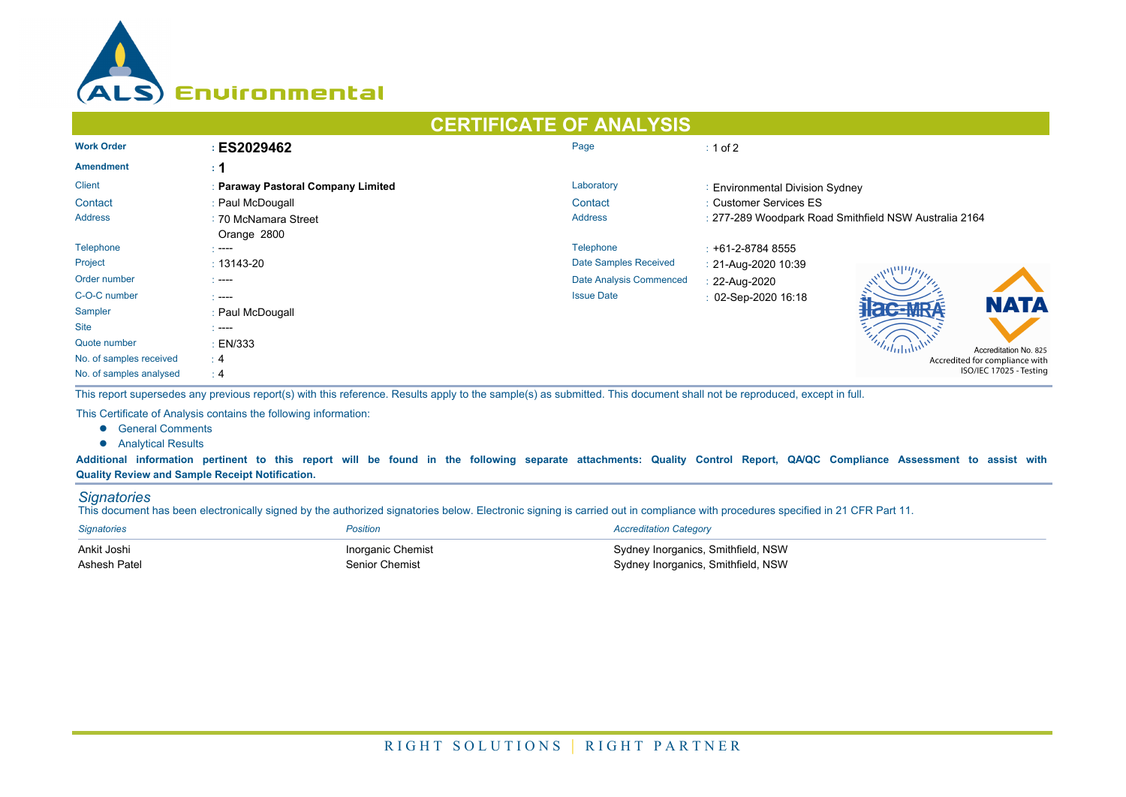

## **CERTIFICATE OF ANALYSIS Work Order : ES2029462 Page : 1 of 2 Amendment : 1** Client **1988 Client** 1998 **Paraway Pastoral Company Limited** Company **Limited** Laboratory **Client** 2016 Client 2016 Client Contact : Paul McDougall : Paul McDougall : Customer Services ES Address : 70 McNamara Street **1986** and 2007 and 2007 and 2007 and 2007 and 2007 and 2007 and 2007 and 2007 and 2007 and 2007 and 2007 and 2007 and 2007 and 2007 and 2007 and 2007 and 2007 and 2007 and 2007 and 2007 and 20 277-289 Woodpark Road Smithfield NSW Australia 2164 Orange 2800 Telephone : ---- Telephone : +61-2-8784 8555 Project **13143-20** 13143-20 **Project** 21-Aug-2020 10:39 Order number **and the commenced** in the commenced of the commenced in the Date Analysis Commenced in 22-Aug-2020 C-O-C number in the contract of the contract of the contract of the contract of the contract of the contract of the contract of the contract of the contract of the contract of the contract of the contract of the contract o Sampler : Paul McDougall Site : ---- Quote number : EN/333 Accreditation No. 825 No. of samples received : 4 Accredited for compliance with ISO/IEC 17025 - Testing No. of samples analysed : 4

This report supersedes any previous report(s) with this reference. Results apply to the sample(s) as submitted. This document shall not be reproduced, except in full.

This Certificate of Analysis contains the following information:

- **•** General Comments
- **•** Analytical Results

**Additional information pertinent to this report will be found in the following separate attachments: Quality Control Report, QA/QC Compliance Assessment to assist with Quality Review and Sample Receipt Notification.**

## *Signatories*

This document has been electronically signed by the authorized signatories below. Electronic signing is carried out in compliance with procedures specified in 21 CFR Part 11.

| Signatories  | Position          | <b>Accreditation Category</b>      |
|--------------|-------------------|------------------------------------|
| Ankit Joshi  | Inorganic Chemist | Sydney Inorganics, Smithfield, NSW |
| Ashesh Patel | Senior Chemist    | Sydney Inorganics, Smithfield, NSW |